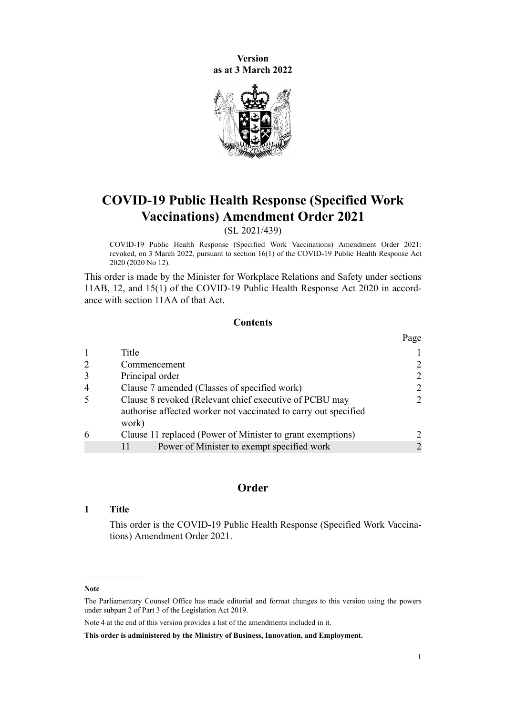**Version as at 3 March 2022**



# **COVID-19 Public Health Response (Specified Work Vaccinations) Amendment Order 2021**

(SL 2021/439)

COVID-19 Public Health Response (Specified Work Vaccinations) Amendment Order 2021: revoked, on 3 March 2022, pursuant to [section 16\(1\)](http://legislation.govt.nz/pdflink.aspx?id=LMS344186) of the COVID-19 Public Health Response Act 2020 (2020 No 12).

This order is made by the Minister for Workplace Relations and Safety under [sections](http://legislation.govt.nz/pdflink.aspx?id=LMS606183) [11AB](http://legislation.govt.nz/pdflink.aspx?id=LMS606183), [12](http://legislation.govt.nz/pdflink.aspx?id=LMS344178), and [15\(1\)](http://legislation.govt.nz/pdflink.aspx?id=LMS344183) of the [COVID-19 Public Health Response Act 2020](http://legislation.govt.nz/pdflink.aspx?id=LMS344121) in accord‐ ance with [section 11AA](http://legislation.govt.nz/pdflink.aspx?id=LMS606175) of that Act.

#### **Contents**

|                |                                                                          | Page                        |
|----------------|--------------------------------------------------------------------------|-----------------------------|
|                | Title                                                                    |                             |
| $\overline{2}$ | Commencement                                                             |                             |
|                | Principal order                                                          | $\mathcal{D}_{\mathcal{L}}$ |
| $\overline{4}$ | Clause 7 amended (Classes of specified work)                             | 2                           |
|                | Clause 8 revoked (Relevant chief executive of PCBU may                   | $\mathcal{D}$               |
|                | authorise affected worker not vaccinated to carry out specified<br>work) |                             |
| 6              | Clause 11 replaced (Power of Minister to grant exemptions)               |                             |
|                | Power of Minister to exempt specified work                               |                             |

# **Order**

# **1 Title**

This order is the COVID-19 Public Health Response (Specified Work Vaccinations) Amendment Order 2021.

#### **Note**

The Parliamentary Counsel Office has made editorial and format changes to this version using the powers under [subpart 2](http://legislation.govt.nz/pdflink.aspx?id=DLM7298371) of Part 3 of the Legislation Act 2019.

Note 4 at the end of this version provides a list of the amendments included in it.

**This order is administered by the Ministry of Business, Innovation, and Employment.**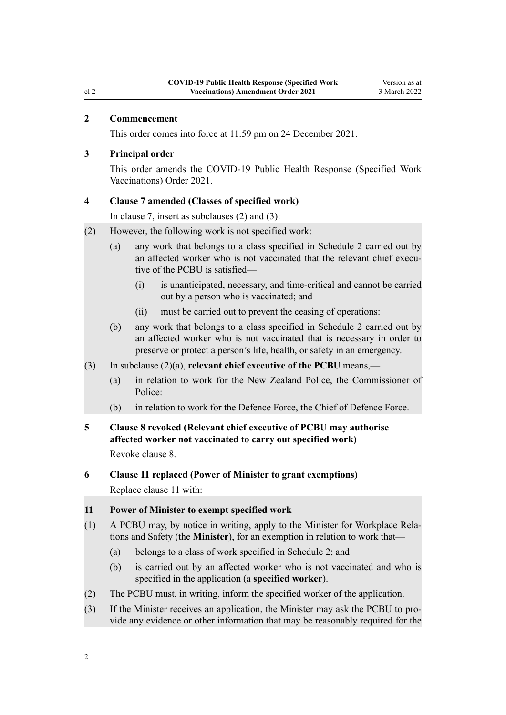#### <span id="page-1-0"></span>**2 Commencement**

This order comes into force at 11.59 pm on 24 December 2021.

#### **3 Principal order**

This order amends the [COVID-19 Public Health Response \(Specified Work](http://legislation.govt.nz/pdflink.aspx?id=LMS617270) [Vaccinations\) Order 2021](http://legislation.govt.nz/pdflink.aspx?id=LMS617270).

#### **4 Clause 7 amended (Classes of specified work)**

In [clause 7](http://legislation.govt.nz/pdflink.aspx?id=LMS617294), insert as subclauses (2) and (3):

- (2) However, the following work is not specified work:
	- (a) any work that belongs to a class specified in Schedule 2 carried out by an affected worker who is not vaccinated that the relevant chief executive of the PCBU is satisfied—
		- (i) is unanticipated, necessary, and time-critical and cannot be carried out by a person who is vaccinated; and
		- (ii) must be carried out to prevent the ceasing of operations:
	- (b) any work that belongs to a class specified in Schedule 2 carried out by an affected worker who is not vaccinated that is necessary in order to preserve or protect a person's life, health, or safety in an emergency.
- (3) In subclause (2)(a), **relevant chief executive of the PCBU** means,—
	- (a) in relation to work for the New Zealand Police, the Commissioner of Police:
	- (b) in relation to work for the Defence Force, the Chief of Defence Force.
- **5 Clause 8 revoked (Relevant chief executive of PCBU may authorise affected worker not vaccinated to carry out specified work)** Revoke [clause 8.](http://legislation.govt.nz/pdflink.aspx?id=LMS617296)
- **6 Clause 11 replaced (Power of Minister to grant exemptions)**

Replace [clause 11](http://legislation.govt.nz/pdflink.aspx?id=LMS617299) with:

# **11 Power of Minister to exempt specified work**

- (1) A PCBU may, by notice in writing, apply to the Minister for Workplace Rela‐ tions and Safety (the **Minister**), for an exemption in relation to work that—
	- (a) belongs to a class of work specified in Schedule 2; and
	- (b) is carried out by an affected worker who is not vaccinated and who is specified in the application (a **specified worker**).
- (2) The PCBU must, in writing, inform the specified worker of the application.
- (3) If the Minister receives an application, the Minister may ask the PCBU to pro‐ vide any evidence or other information that may be reasonably required for the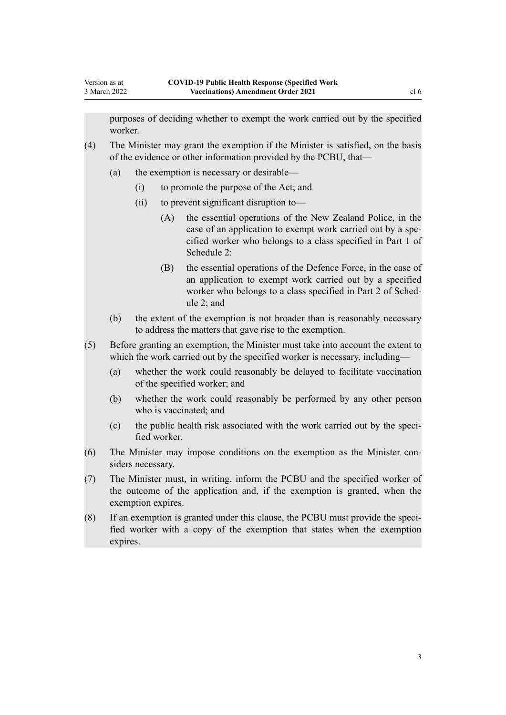purposes of deciding whether to exempt the work carried out by the specified worker.

- (4) The Minister may grant the exemption if the Minister is satisfied, on the basis of the evidence or other information provided by the PCBU, that—
	- (a) the exemption is necessary or desirable—
		- (i) to promote the purpose of the Act; and
		- (ii) to prevent significant disruption to—
			- (A) the essential operations of the New Zealand Police, in the case of an application to exempt work carried out by a specified worker who belongs to a class specified in Part 1 of Schedule 2:
			- (B) the essential operations of the Defence Force, in the case of an application to exempt work carried out by a specified worker who belongs to a class specified in Part 2 of Schedule 2; and
	- (b) the extent of the exemption is not broader than is reasonably necessary to address the matters that gave rise to the exemption.
- (5) Before granting an exemption, the Minister must take into account the extent to which the work carried out by the specified worker is necessary, including—
	- (a) whether the work could reasonably be delayed to facilitate vaccination of the specified worker; and
	- (b) whether the work could reasonably be performed by any other person who is vaccinated; and
	- (c) the public health risk associated with the work carried out by the specified worker.
- (6) The Minister may impose conditions on the exemption as the Minister con‐ siders necessary.
- (7) The Minister must, in writing, inform the PCBU and the specified worker of the outcome of the application and, if the exemption is granted, when the exemption expires.
- (8) If an exemption is granted under this clause, the PCBU must provide the speci‐ fied worker with a copy of the exemption that states when the exemption expires.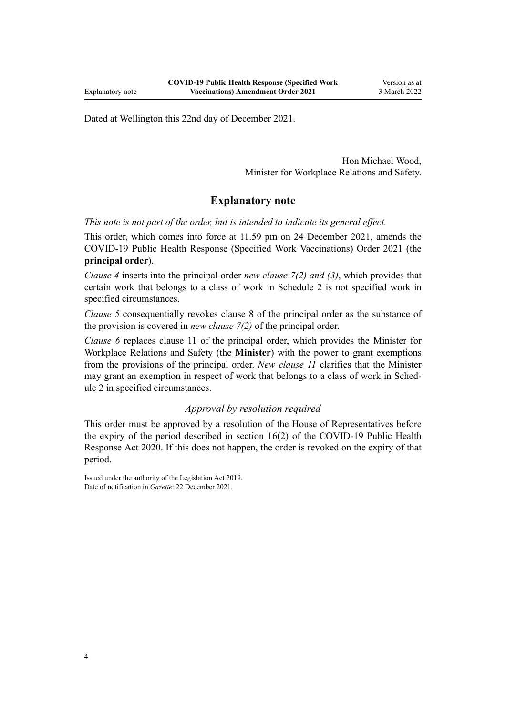Dated at Wellington this 22nd day of December 2021.

Hon Michael Wood, Minister for Workplace Relations and Safety.

# **Explanatory note**

*This note is not part of the order, but is intended to indicate its general effect.*

This order, which comes into force at 11.59 pm on 24 December 2021, amends the [COVID-19 Public Health Response \(Specified Work Vaccinations\) Order 2021](http://legislation.govt.nz/pdflink.aspx?id=LMS617270) (the **principal order**).

*[Clause 4](#page-1-0)* inserts into the principal order *new clause 7(2) and (3)*, which provides that certain work that belongs to a class of work in [Schedule 2](http://legislation.govt.nz/pdflink.aspx?id=LMS617313) is not specified work in specified circumstances.

*[Clause 5](#page-1-0)* consequentially revokes [clause 8](http://legislation.govt.nz/pdflink.aspx?id=LMS617296) of the principal order as the substance of the provision is covered in *new clause 7(2)* of the principal order.

*[Clause 6](#page-1-0)* replaces [clause 11](http://legislation.govt.nz/pdflink.aspx?id=LMS617299) of the principal order, which provides the Minister for Workplace Relations and Safety (the **Minister**) with the power to grant exemptions from the provisions of the principal order. *New clause 11* clarifies that the Minister may grant an exemption in respect of work that belongs to a class of work in Sched[ule 2](http://legislation.govt.nz/pdflink.aspx?id=LMS617313) in specified circumstances.

# *Approval by resolution required*

This order must be approved by a resolution of the House of Representatives before the expiry of the period described in [section 16\(2\)](http://legislation.govt.nz/pdflink.aspx?id=LMS344186) of the COVID-19 Public Health Response Act 2020. If this does not happen, the order is revoked on the expiry of that period.

Issued under the authority of the [Legislation Act 2019](http://legislation.govt.nz/pdflink.aspx?id=DLM7298104). Date of notification in *Gazette*: 22 December 2021.